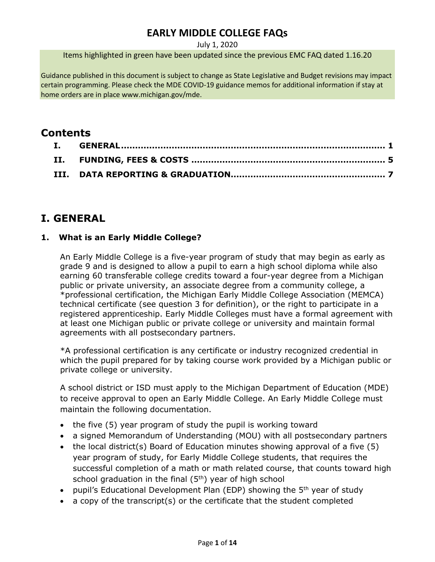July 1, 2020

Items highlighted in green have been updated since the previous EMC FAQ dated 1.16.20

Guidance published in this document is subject to change as State Legislative and Budget revisions may impact certain programming. Please check the MDE COVID-19 guidance memos for additional information if stay at home orders are in place www.michigan.gov/mde.

# **Contents**

# <span id="page-0-0"></span>**I. GENERAL**

## **1. What is an Early Middle College?**

An Early Middle College is a five-year program of study that may begin as early as grade 9 and is designed to allow a pupil to earn a high school diploma while also earning 60 transferable college credits toward a four-year degree from a Michigan public or private university, an associate degree from a community college, a \*professional certification, the Michigan Early Middle College Association (MEMCA) technical certificate (see question 3 for definition), or the right to participate in a registered apprenticeship. Early Middle Colleges must have a formal agreement with at least one Michigan public or private college or university and maintain formal agreements with all postsecondary partners.

\*A professional certification is any certificate or industry recognized credential in which the pupil prepared for by taking course work provided by a Michigan public or private college or university.

A school district or ISD must apply to the Michigan Department of Education (MDE) to receive approval to open an Early Middle College. An Early Middle College must maintain the following documentation.

- the five (5) year program of study the pupil is working toward
- a signed Memorandum of Understanding (MOU) with all postsecondary partners
- the local district(s) Board of Education minutes showing approval of a five (5) year program of study, for Early Middle College students, that requires the successful completion of a math or math related course, that counts toward high school graduation in the final  $(5<sup>th</sup>)$  year of high school
- pupil's Educational Development Plan (EDP) showing the 5<sup>th</sup> year of study
- a copy of the transcript(s) or the certificate that the student completed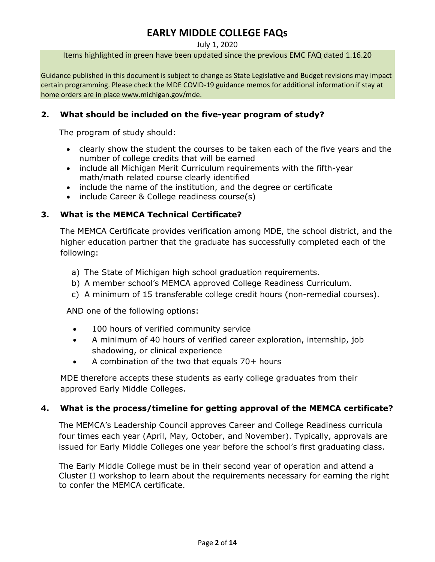July 1, 2020

Items highlighted in green have been updated since the previous EMC FAQ dated 1.16.20

Guidance published in this document is subject to change as State Legislative and Budget revisions may impact certain programming. Please check the MDE COVID-19 guidance memos for additional information if stay at home orders are in place www.michigan.gov/mde.

## **2. What should be included on the five-year program of study?**

The program of study should:

- clearly show the student the courses to be taken each of the five years and the number of college credits that will be earned
- include all Michigan Merit Curriculum requirements with the fifth-year math/math related course clearly identified
- include the name of the institution, and the degree or certificate
- include Career & College readiness course(s)

## **3. What is the MEMCA Technical Certificate?**

The MEMCA Certificate provides verification among MDE, the school district, and the higher education partner that the graduate has successfully completed each of the following:

- a) The State of Michigan high school graduation requirements.
- b) A member school's MEMCA approved College Readiness Curriculum.
- c) A minimum of 15 transferable college credit hours (non-remedial courses).

AND one of the following options:

- 100 hours of verified community service
- A minimum of 40 hours of verified career exploration, internship, job shadowing, or clinical experience
- A combination of the two that equals 70+ hours

MDE therefore accepts these students as early college graduates from their approved Early Middle Colleges.

### **4. What is the process/timeline for getting approval of the MEMCA certificate?**

The MEMCA's Leadership Council approves Career and College Readiness curricula four times each year (April, May, October, and November). Typically, approvals are issued for Early Middle Colleges one year before the school's first graduating class.

The Early Middle College must be in their second year of operation and attend a Cluster II workshop to learn about the requirements necessary for earning the right to confer the MEMCA certificate.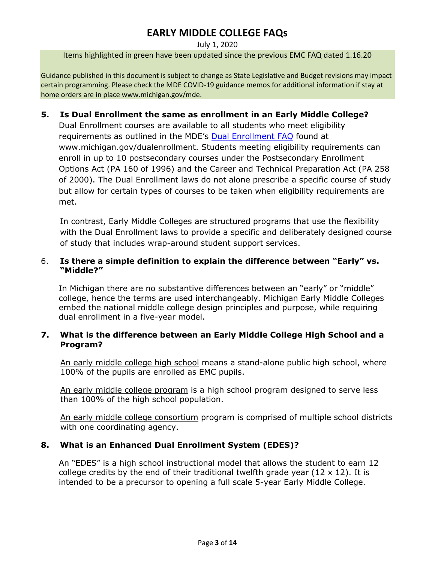#### July 1, 2020

Items highlighted in green have been updated since the previous EMC FAQ dated 1.16.20

Guidance published in this document is subject to change as State Legislative and Budget revisions may impact certain programming. Please check the MDE COVID-19 guidance memos for additional information if stay at home orders are in place www.michigan.gov/mde.

### **5. Is Dual Enrollment the same as enrollment in an Early Middle College?**

Dual Enrollment courses are available to all students who meet eligibility requirements as outlined in the MDE's [Dual Enrollment FAQ](http://www.michigan.gov/dualenrollment) found at www.michigan.gov/dualenrollment. Students meeting eligibility requirements can enroll in up to 10 postsecondary courses under the Postsecondary Enrollment Options Act (PA 160 of 1996) and the Career and Technical Preparation Act (PA 258 of 2000). The Dual Enrollment laws do not alone prescribe a specific course of study but allow for certain types of courses to be taken when eligibility requirements are met.

In contrast, Early Middle Colleges are structured programs that use the flexibility with the Dual Enrollment laws to provide a specific and deliberately designed course of study that includes wrap-around student support services.

## 6. **Is there a simple definition to explain the difference between "Early" vs. "Middle?"**

In Michigan there are no substantive differences between an "early" or "middle" college, hence the terms are used interchangeably. Michigan Early Middle Colleges embed the national middle college design principles and purpose, while requiring dual enrollment in a five-year model.

## **7. What is the difference between an Early Middle College High School and a Program?**

An early middle college high school means a stand-alone public high school, where 100% of the pupils are enrolled as EMC pupils.

An early middle college program is a high school program designed to serve less than 100% of the high school population.

An early middle college consortium program is comprised of multiple school districts with one coordinating agency.

### **8. What is an Enhanced Dual Enrollment System (EDES)?**

An "EDES" is a high school instructional model that allows the student to earn 12 college credits by the end of their traditional twelfth grade year (12  $\times$  12). It is intended to be a precursor to opening a full scale 5-year Early Middle College.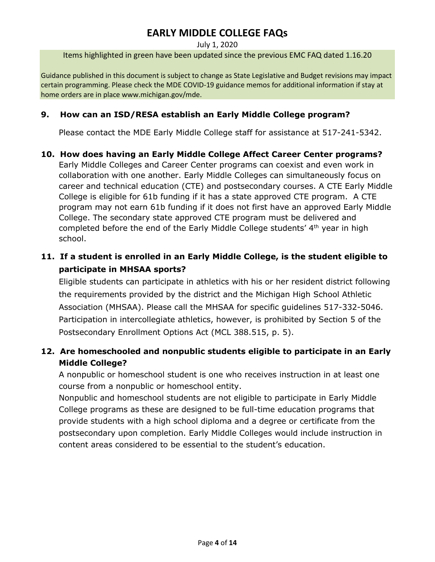July 1, 2020

Items highlighted in green have been updated since the previous EMC FAQ dated 1.16.20

Guidance published in this document is subject to change as State Legislative and Budget revisions may impact certain programming. Please check the MDE COVID-19 guidance memos for additional information if stay at home orders are in place www.michigan.gov/mde.

## **9. How can an ISD/RESA establish an Early Middle College program?**

Please contact the MDE Early Middle College staff for assistance at 517-241-5342.

## **10. How does having an Early Middle College Affect Career Center programs?**

Early Middle Colleges and Career Center programs can coexist and even work in collaboration with one another. Early Middle Colleges can simultaneously focus on career and technical education (CTE) and postsecondary courses. A CTE Early Middle College is eligible for 61b funding if it has a state approved CTE program. A CTE program may not earn 61b funding if it does not first have an approved Early Middle College. The secondary state approved CTE program must be delivered and completed before the end of the Early Middle College students' 4<sup>th</sup> year in high school.

## **11. If a student is enrolled in an Early Middle College, is the student eligible to participate in MHSAA sports?**

Eligible students can participate in athletics with his or her resident district following the requirements provided by the district and the Michigan High School Athletic Association (MHSAA). Please call the MHSAA for specific guidelines 517-332-5046. Participation in intercollegiate athletics, however, is prohibited by Section 5 of the Postsecondary Enrollment Options Act (MCL 388.515, p. 5).

## **12. Are homeschooled and nonpublic students eligible to participate in an Early Middle College?**

A nonpublic or homeschool student is one who receives instruction in at least one course from a nonpublic or homeschool entity.

Nonpublic and homeschool students are not eligible to participate in Early Middle College programs as these are designed to be full-time education programs that provide students with a high school diploma and a degree or certificate from the postsecondary upon completion. Early Middle Colleges would include instruction in content areas considered to be essential to the student's education.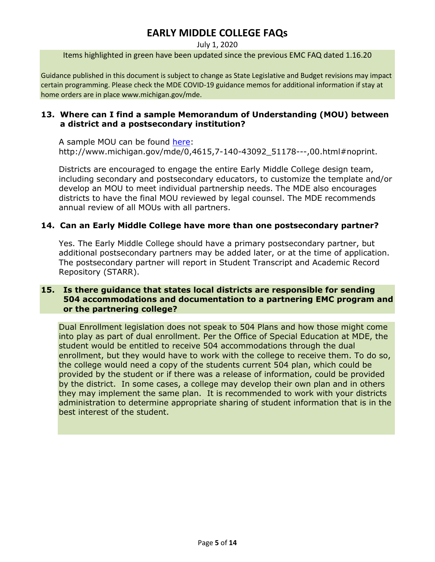July 1, 2020

Items highlighted in green have been updated since the previous EMC FAQ dated 1.16.20

Guidance published in this document is subject to change as State Legislative and Budget revisions may impact certain programming. Please check the MDE COVID-19 guidance memos for additional information if stay at home orders are in place www.michigan.gov/mde.

### **13. Where can I find a sample Memorandum of Understanding (MOU) between a district and a postsecondary institution?**

A sample MOU can be found [here:](http://www.michigan.gov/mde/0,4615,7-140-43092_51178---,00.html#noprint) http://www.michigan.gov/mde/0,4615,7-140-43092\_51178---,00.html#noprint.

Districts are encouraged to engage the entire Early Middle College design team, including secondary and postsecondary educators, to customize the template and/or develop an MOU to meet individual partnership needs. The MDE also encourages districts to have the final MOU reviewed by legal counsel. The MDE recommends annual review of all MOUs with all partners.

### **14. Can an Early Middle College have more than one postsecondary partner?**

Yes. The Early Middle College should have a primary postsecondary partner, but additional postsecondary partners may be added later, or at the time of application. The postsecondary partner will report in Student Transcript and Academic Record Repository (STARR).

## **15. Is there guidance that states local districts are responsible for sending 504 accommodations and documentation to a partnering EMC program and or the partnering college?**

Dual Enrollment legislation does not speak to 504 Plans and how those might come into play as part of dual enrollment. Per the Office of Special Education at MDE, the student would be entitled to receive 504 accommodations through the dual enrollment, but they would have to work with the college to receive them. To do so, the college would need a copy of the students current 504 plan, which could be provided by the student or if there was a release of information, could be provided by the district. In some cases, a college may develop their own plan and in others they may implement the same plan. It is recommended to work with your districts administration to determine appropriate sharing of student information that is in the best interest of the student.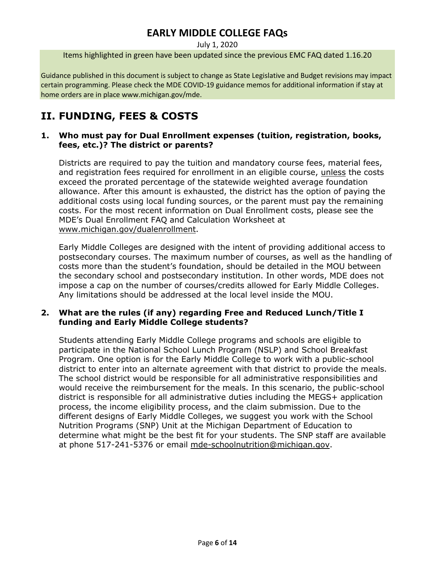July 1, 2020

Items highlighted in green have been updated since the previous EMC FAQ dated 1.16.20

Guidance published in this document is subject to change as State Legislative and Budget revisions may impact certain programming. Please check the MDE COVID-19 guidance memos for additional information if stay at home orders are in place www.michigan.gov/mde.

# **II. FUNDING, FEES & COSTS**

## **1. Who must pay for Dual Enrollment expenses (tuition, registration, books, fees, etc.)? The district or parents?**

Districts are required to pay the tuition and mandatory course fees, material fees, and registration fees required for enrollment in an eligible course, unless the costs exceed the prorated percentage of the statewide weighted average foundation allowance. After this amount is exhausted, the district has the option of paying the additional costs using local funding sources, or the parent must pay the remaining costs. For the most recent information on Dual Enrollment costs, please see the MDE's Dual Enrollment FAQ and Calculation Worksheet at [www.michigan.gov/dualenrollment.](http://www.michigan.gov/dualenrollment)

Early Middle Colleges are designed with the intent of providing additional access to postsecondary courses. The maximum number of courses, as well as the handling of costs more than the student's foundation, should be detailed in the MOU between the secondary school and postsecondary institution. In other words, MDE does not impose a cap on the number of courses/credits allowed for Early Middle Colleges. Any limitations should be addressed at the local level inside the MOU.

## **2. What are the rules (if any) regarding Free and Reduced Lunch/Title I funding and Early Middle College students?**

Students attending Early Middle College programs and schools are eligible to participate in the National School Lunch Program (NSLP) and School Breakfast Program. One option is for the Early Middle College to work with a public-school district to enter into an alternate agreement with that district to provide the meals. The school district would be responsible for all administrative responsibilities and would receive the reimbursement for the meals. In this scenario, the public-school district is responsible for all administrative duties including the MEGS+ application process, the income eligibility process, and the claim submission. Due to the different designs of Early Middle Colleges, we suggest you work with the School Nutrition Programs (SNP) Unit at the Michigan Department of Education to determine what might be the best fit for your students. The SNP staff are available at phone 517-241-5376 or email [mde-schoolnutrition@michigan.gov.](mailto:mde-schoolnutrition@michigan.gov)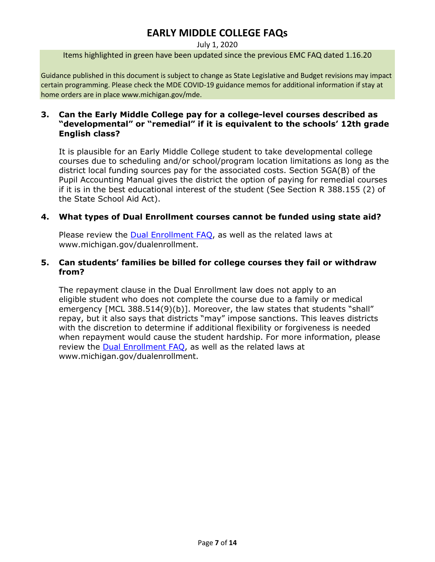#### July 1, 2020

Items highlighted in green have been updated since the previous EMC FAQ dated 1.16.20

Guidance published in this document is subject to change as State Legislative and Budget revisions may impact certain programming. Please check the MDE COVID-19 guidance memos for additional information if stay at home orders are in place www.michigan.gov/mde.

### **3. Can the Early Middle College pay for a college-level courses described as "developmental" or "remedial" if it is equivalent to the schools' 12th grade English class?**

It is plausible for an Early Middle College student to take developmental college courses due to scheduling and/or school/program location limitations as long as the district local funding sources pay for the associated costs. Section 5GA(B) of the Pupil Accounting Manual gives the district the option of paying for remedial courses if it is in the best educational interest of the student (See Section R 388.155 (2) of the State School Aid Act).

## **4. What types of Dual Enrollment courses cannot be funded using state aid?**

Please review the [Dual Enrollment FAQ,](http://www.michigan.gov/dualenrollment) as well as the related laws at www.michigan.gov/dualenrollment.

### **5. Can students' families be billed for college courses they fail or withdraw from?**

The repayment clause in the Dual Enrollment law does not apply to an eligible student who does not complete the course due to a family or medical emergency [MCL 388.514(9)(b)]. Moreover, the law states that students "shall" repay, but it also says that districts "may" impose sanctions. This leaves districts with the discretion to determine if additional flexibility or forgiveness is needed when repayment would cause the student hardship. For more information, please review the **Dual Enrollment FAQ**, as well as the related laws at www.michigan.gov/dualenrollment.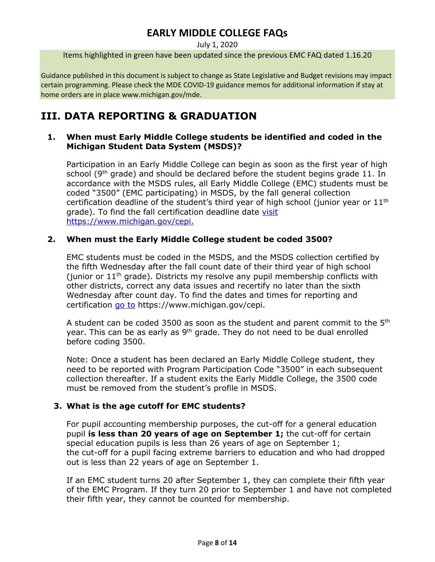July 1, 2020

Items highlighted in green have been updated since the previous EMC FAQ dated 1.16.20

Guidance published in this document is subject to change as State Legislative and Budget revisions may impact certain programming. Please check the MDE COVID-19 guidance memos for additional information if stay at home orders are in place www.michigan.gov/mde.

# **III. DATA REPORTING & GRADUATION**

### **1. When must Early Middle College students be identified and coded in the Michigan Student Data System (MSDS)?**

Participation in an Early Middle College can begin as soon as the first year of high school (9<sup>th</sup> grade) and should be declared before the student begins grade 11. In accordance with the MSDS rules, all Early Middle College (EMC) students must be coded "3500" (EMC participating) in MSDS, by the fall general collection certification deadline of the student's third year of high school (junior year or  $11<sup>th</sup>$ grade). To find the fall certification deadline date [visit](https://www.michigan.gov/cepi) https://www.michigan.gov/cepi.

## **2. When must the Early Middle College student be coded 3500?**

EMC students must be coded in the MSDS, and the MSDS collection certified by the fifth Wednesday after the fall count date of their third year of high school (junior or  $11<sup>th</sup>$  grade). Districts my resolve any pupil membership conflicts with other districts, correct any data issues and recertify no later than the sixth Wednesday after count day. To find the dates and times for reporting and certification [go to](https://www.michigan.gov/cepi) https://www.michigan.gov/cepi.

A student can be coded 3500 as soon as the student and parent commit to the  $5<sup>th</sup>$ year. This can be as early as  $9<sup>th</sup>$  grade. They do not need to be dual enrolled before coding 3500.

Note: Once a student has been declared an Early Middle College student, they need to be reported with Program Participation Code "3500" in each subsequent collection thereafter. If a student exits the Early Middle College, the 3500 code must be removed from the student's profile in MSDS.

## **3. What is the age cutoff for EMC students?**

For pupil accounting membership purposes, the cut-off for a general education pupil **is less than 20 years of age on September 1;** the cut-off for certain special education pupils is less than 26 years of age on September 1; the cut-off for a pupil facing extreme barriers to education and who had dropped out is less than 22 years of age on September 1.

If an EMC student turns 20 after September 1, they can complete their fifth year of the EMC Program. If they turn 20 prior to September 1 and have not completed their fifth year, they cannot be counted for membership.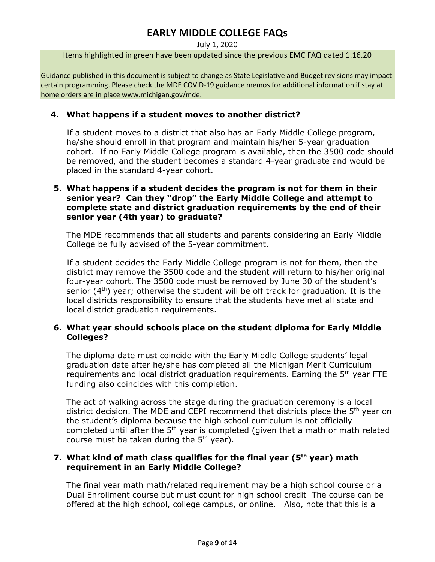#### July 1, 2020

Items highlighted in green have been updated since the previous EMC FAQ dated 1.16.20

Guidance published in this document is subject to change as State Legislative and Budget revisions may impact certain programming. Please check the MDE COVID-19 guidance memos for additional information if stay at home orders are in place www.michigan.gov/mde.

### **4. What happens if a student moves to another district?**

If a student moves to a district that also has an Early Middle College program, he/she should enroll in that program and maintain his/her 5-year graduation cohort. If no Early Middle College program is available, then the 3500 code should be removed, and the student becomes a standard 4-year graduate and would be placed in the standard 4-year cohort.

### **5. What happens if a student decides the program is not for them in their senior year? Can they "drop" the Early Middle College and attempt to complete state and district graduation requirements by the end of their senior year (4th year) to graduate?**

The MDE recommends that all students and parents considering an Early Middle College be fully advised of the 5-year commitment.

If a student decides the Early Middle College program is not for them, then the district may remove the 3500 code and the student will return to his/her original four-year cohort. The 3500 code must be removed by June 30 of the student's senior  $(4<sup>th</sup>)$  year; otherwise the student will be off track for graduation. It is the local districts responsibility to ensure that the students have met all state and local district graduation requirements.

## **6. What year should schools place on the student diploma for Early Middle Colleges?**

The diploma date must coincide with the Early Middle College students' legal graduation date after he/she has completed all the Michigan Merit Curriculum requirements and local district graduation requirements. Earning the 5<sup>th</sup> year FTE funding also coincides with this completion.

The act of walking across the stage during the graduation ceremony is a local district decision. The MDE and CEPI recommend that districts place the 5<sup>th</sup> year on the student's diploma because the high school curriculum is not officially completed until after the 5<sup>th</sup> year is completed (given that a math or math related course must be taken during the  $5<sup>th</sup>$  year).

## **7. What kind of math class qualifies for the final year (5th year) math requirement in an Early Middle College?**

The final year math math/related requirement may be a high school course or a Dual Enrollment course but must count for high school credit The course can be offered at the high school, college campus, or online. Also, note that this is a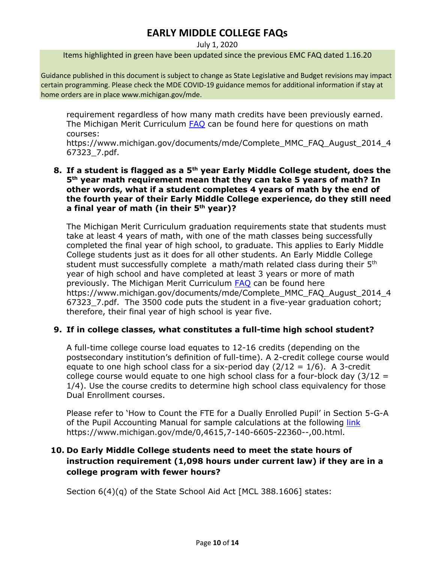July 1, 2020

Items highlighted in green have been updated since the previous EMC FAQ dated 1.16.20

Guidance published in this document is subject to change as State Legislative and Budget revisions may impact certain programming. Please check the MDE COVID-19 guidance memos for additional information if stay at home orders are in place www.michigan.gov/mde.

requirement regardless of how many math credits have been previously earned. The Michigan Merit Curriculum **FAQ** can be found here for questions on math courses:

https://www.michigan.gov/documents/mde/Complete\_MMC\_FAQ\_August\_2014\_4 67323\_7.pdf.

### **8. If a student is flagged as a 5th year Early Middle College student, does the 5th year math requirement mean that they can take 5 years of math? In other words, what if a student completes 4 years of math by the end of the fourth year of their Early Middle College experience, do they still need a final year of math (in their 5th year)?**

The Michigan Merit Curriculum graduation requirements state that students must take at least 4 years of math, with one of the math classes being successfully completed the final year of high school, to graduate. This applies to Early Middle College students just as it does for all other students. An Early Middle College student must successfully complete a math/math related class during their 5<sup>th</sup> year of high school and have completed at least 3 years or more of math previously. The Michigan Merit Curriculum [FAQ](https://www.michigan.gov/documents/mde/Complete_MMC_FAQ_August_2014_467323_7.pdf) can be found here https://www.michigan.gov/documents/mde/Complete\_MMC\_FAQ\_August\_2014\_4 67323\_7.pdf. The 3500 code puts the student in a five-year graduation cohort; therefore, their final year of high school is year five.

### **9. If in college classes, what constitutes a full-time high school student?**

A full-time college course load equates to 12-16 credits (depending on the postsecondary institution's definition of full-time). A 2-credit college course would equate to one high school class for a six-period day  $(2/12 = 1/6)$ . A 3-credit college course would equate to one high school class for a four-block day  $(3/12 =$ 1/4). Use the course credits to determine high school class equivalency for those Dual Enrollment courses.

Please refer to 'How to Count the FTE for a Dually Enrolled Pupil' in Section 5-G-A of the Pupil Accounting Manual for sample calculations at the following [link](https://www.michigan.gov/mde/0,4615,7-140-6605-22360--,00.html) https://www.michigan.gov/mde/0,4615,7-140-6605-22360--,00.html.

## **10. Do Early Middle College students need to meet the state hours of instruction requirement (1,098 hours under current law) if they are in a college program with fewer hours?**

Section 6(4)(q) of the State School Aid Act [MCL 388.1606] states: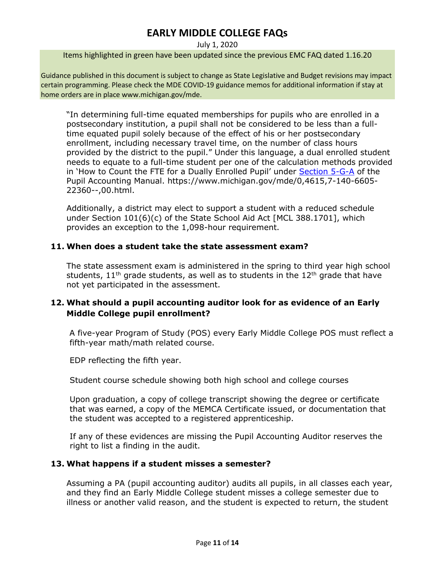#### July 1, 2020

Items highlighted in green have been updated since the previous EMC FAQ dated 1.16.20

Guidance published in this document is subject to change as State Legislative and Budget revisions may impact certain programming. Please check the MDE COVID-19 guidance memos for additional information if stay at home orders are in place www.michigan.gov/mde.

"In determining full-time equated memberships for pupils who are enrolled in a postsecondary institution, a pupil shall not be considered to be less than a fulltime equated pupil solely because of the effect of his or her postsecondary enrollment, including necessary travel time, on the number of class hours provided by the district to the pupil." Under this language, a dual enrolled student needs to equate to a full-time student per one of the calculation methods provided in 'How to Count the FTE for a Dually Enrolled Pupil' under [Section 5-G-A](https://www.michigan.gov/mde/0,4615,7-140-6605-22360--,00.html) of the Pupil Accounting Manual. https://www.michigan.gov/mde/0,4615,7-140-6605- 22360--,00.html.

Additionally, a district may elect to support a student with a reduced schedule under Section 101(6)(c) of the State School Aid Act [MCL 388.1701], which provides an exception to the 1,098-hour requirement.

## **11. When does a student take the state assessment exam?**

The state assessment exam is administered in the spring to third year high school students,  $11<sup>th</sup>$  grade students, as well as to students in the  $12<sup>th</sup>$  grade that have not yet participated in the assessment.

## **12. What should a pupil accounting auditor look for as evidence of an Early Middle College pupil enrollment?**

A five-year Program of Study (POS) every Early Middle College POS must reflect a fifth-year math/math related course.

EDP reflecting the fifth year.

Student course schedule showing both high school and college courses

Upon graduation, a copy of college transcript showing the degree or certificate that was earned, a copy of the MEMCA Certificate issued, or documentation that the student was accepted to a registered apprenticeship.

If any of these evidences are missing the Pupil Accounting Auditor reserves the right to list a finding in the audit.

### **13. What happens if a student misses a semester?**

Assuming a PA (pupil accounting auditor) audits all pupils, in all classes each year, and they find an Early Middle College student misses a college semester due to illness or another valid reason, and the student is expected to return, the student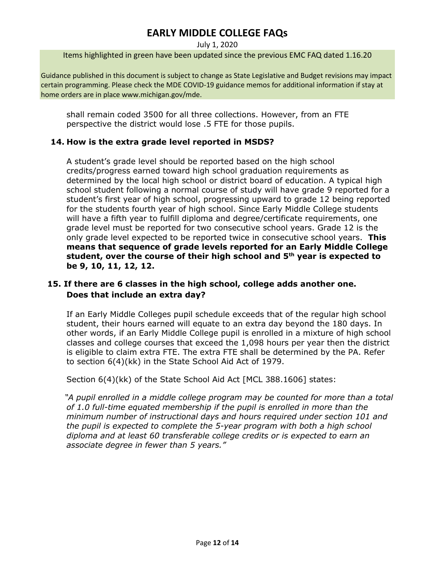July 1, 2020

Items highlighted in green have been updated since the previous EMC FAQ dated 1.16.20

Guidance published in this document is subject to change as State Legislative and Budget revisions may impact certain programming. Please check the MDE COVID-19 guidance memos for additional information if stay at home orders are in place www.michigan.gov/mde.

shall remain coded 3500 for all three collections. However, from an FTE perspective the district would lose .5 FTE for those pupils.

## **14. How is the extra grade level reported in MSDS?**

A student's grade level should be reported based on the high school credits/progress earned toward high school graduation requirements as determined by the local high school or district board of education. A typical high school student following a normal course of study will have grade 9 reported for a student's first year of high school, progressing upward to grade 12 being reported for the students fourth year of high school. Since Early Middle College students will have a fifth year to fulfill diploma and degree/certificate requirements, one grade level must be reported for two consecutive school years. Grade 12 is the only grade level expected to be reported twice in consecutive school years. **This means that sequence of grade levels reported for an Early Middle College student, over the course of their high school and 5th year is expected to be 9, 10, 11, 12, 12.**

## **15. If there are 6 classes in the high school, college adds another one. Does that include an extra day?**

If an Early Middle Colleges pupil schedule exceeds that of the regular high school student, their hours earned will equate to an extra day beyond the 180 days. In other words, if an Early Middle College pupil is enrolled in a mixture of high school classes and college courses that exceed the 1,098 hours per year then the district is eligible to claim extra FTE. The extra FTE shall be determined by the PA. Refer to section 6(4)(kk) in the State School Aid Act of 1979.

Section 6(4)(kk) of the State School Aid Act [MCL 388.1606] states:

*"A pupil enrolled in a middle college program may be counted for more than a total of 1.0 full-time equated membership if the pupil is enrolled in more than the minimum number of instructional days and hours required under section 101 and the pupil is expected to complete the 5-year program with both a high school diploma and at least 60 transferable college credits or is expected to earn an associate degree in fewer than 5 years."*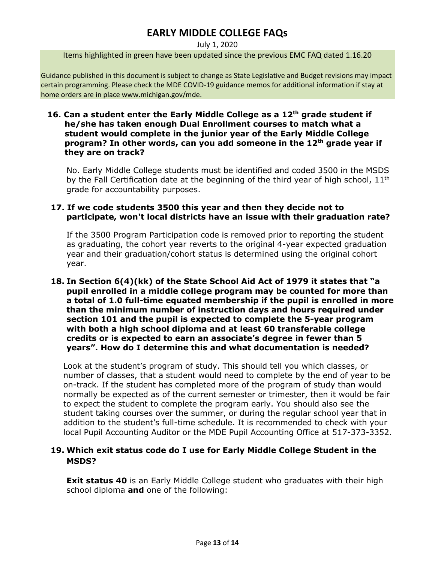#### July 1, 2020

Items highlighted in green have been updated since the previous EMC FAQ dated 1.16.20

Guidance published in this document is subject to change as State Legislative and Budget revisions may impact certain programming. Please check the MDE COVID-19 guidance memos for additional information if stay at home orders are in place www.michigan.gov/mde.

### **16. Can a student enter the Early Middle College as a 12th grade student if he/she has taken enough Dual Enrollment courses to match what a student would complete in the junior year of the Early Middle College program? In other words, can you add someone in the 12th grade year if they are on track?**

No. Early Middle College students must be identified and coded 3500 in the MSDS by the Fall Certification date at the beginning of the third year of high school,  $11<sup>th</sup>$ grade for accountability purposes.

## **17. If we code students 3500 this year and then they decide not to participate, won't local districts have an issue with their graduation rate?**

If the 3500 Program Participation code is removed prior to reporting the student as graduating, the cohort year reverts to the original 4-year expected graduation year and their graduation/cohort status is determined using the original cohort year.

### **18. In Section 6(4)(kk) of the State School Aid Act of 1979 it states that "a pupil enrolled in a middle college program may be counted for more than a total of 1.0 full-time equated membership if the pupil is enrolled in more than the minimum number of instruction days and hours required under section 101 and the pupil is expected to complete the 5-year program with both a high school diploma and at least 60 transferable college credits or is expected to earn an associate's degree in fewer than 5 years". How do I determine this and what documentation is needed?**

Look at the student's program of study. This should tell you which classes, or number of classes, that a student would need to complete by the end of year to be on-track. If the student has completed more of the program of study than would normally be expected as of the current semester or trimester, then it would be fair to expect the student to complete the program early. You should also see the student taking courses over the summer, or during the regular school year that in addition to the student's full-time schedule. It is recommended to check with your local Pupil Accounting Auditor or the MDE Pupil Accounting Office at 517-373-3352.

## **19. Which exit status code do I use for Early Middle College Student in the MSDS?**

**Exit status 40** is an Early Middle College student who graduates with their high school diploma **and** one of the following: